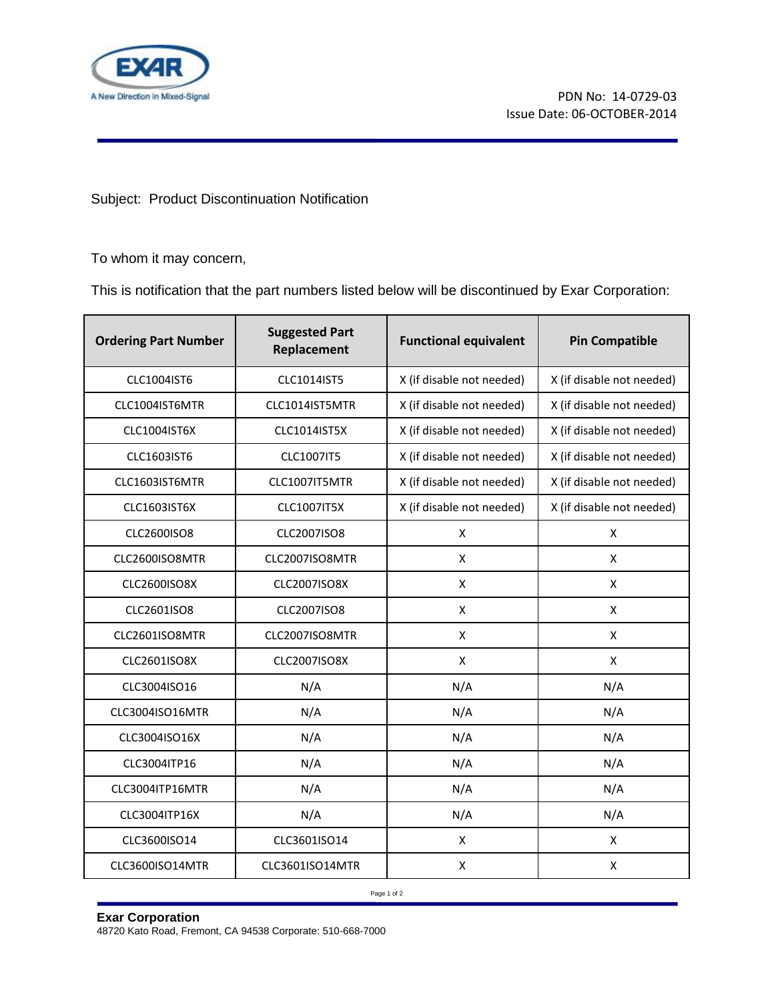

## Subject: Product Discontinuation Notification

To whom it may concern,

This is notification that the part numbers listed below will be discontinued by Exar Corporation:

| <b>Ordering Part Number</b> | <b>Suggested Part</b><br>Replacement | <b>Functional equivalent</b> | <b>Pin Compatible</b>     |
|-----------------------------|--------------------------------------|------------------------------|---------------------------|
| CLC1004IST6                 | CLC1014IST5                          | X (if disable not needed)    | X (if disable not needed) |
| CLC1004IST6MTR              | CLC1014IST5MTR                       | X (if disable not needed)    | X (if disable not needed) |
| CLC1004IST6X                | CLC1014IST5X                         | X (if disable not needed)    | X (if disable not needed) |
| CLC1603IST6                 | CLC1007IT5                           | X (if disable not needed)    | X (if disable not needed) |
| CLC1603IST6MTR              | CLC1007IT5MTR                        | X (if disable not needed)    | X (if disable not needed) |
| CLC1603IST6X                | <b>CLC1007IT5X</b>                   | X (if disable not needed)    | X (if disable not needed) |
| CLC2600ISO8                 | CLC2007ISO8                          | X                            | X                         |
| CLC2600ISO8MTR              | CLC2007ISO8MTR                       | X                            | X                         |
| <b>CLC2600ISO8X</b>         | CLC2007ISO8X                         | $\pmb{\mathsf{X}}$           | X                         |
| CLC2601ISO8                 | CLC2007ISO8                          | X                            | X                         |
| CLC2601ISO8MTR              | CLC2007ISO8MTR                       | X                            | X                         |
| CLC2601ISO8X                | <b>CLC2007ISO8X</b>                  | $\pmb{\mathsf{X}}$           | X                         |
| CLC3004ISO16                | N/A                                  | N/A                          | N/A                       |
| CLC3004ISO16MTR             | N/A                                  | N/A                          | N/A                       |
| CLC3004ISO16X               | N/A                                  | N/A                          | N/A                       |
| CLC3004ITP16                | N/A                                  | N/A                          | N/A                       |
| CLC3004ITP16MTR             | N/A                                  | N/A                          | N/A                       |
| CLC3004ITP16X               | N/A                                  | N/A                          | N/A                       |
| CLC3600ISO14                | CLC3601ISO14                         | X                            | X                         |
| CLC3600ISO14MTR             | CLC3601ISO14MTR                      | X                            | X                         |

Page 1 of 2